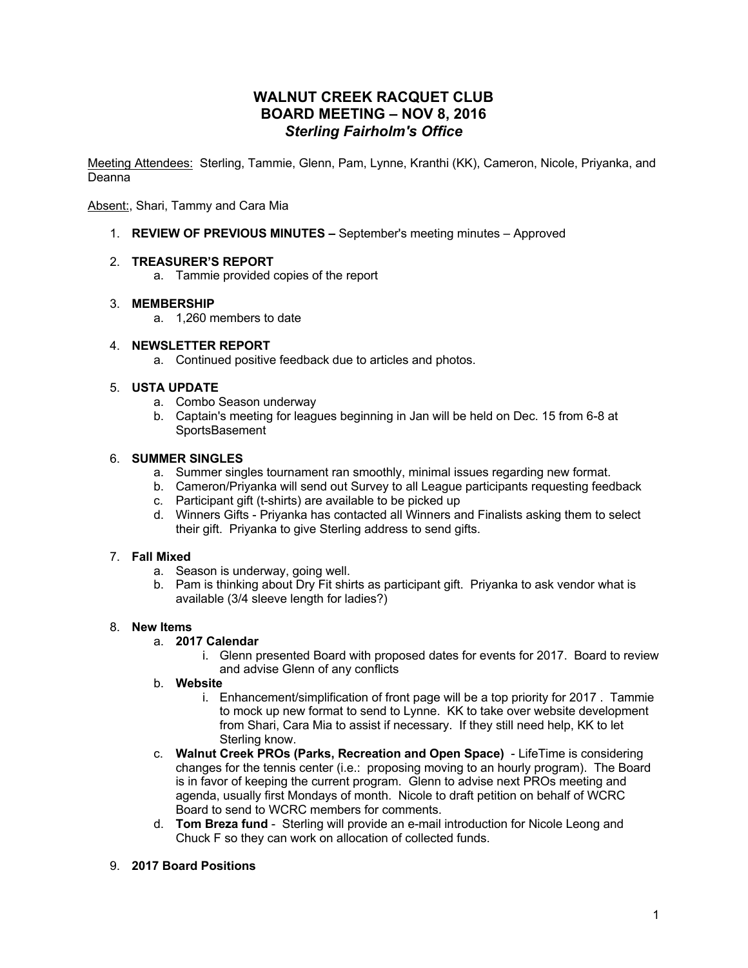# **WALNUT CREEK RACQUET CLUB BOARD MEETING – NOV 8, 2016** *Sterling Fairholm's Office*

Meeting Attendees: Sterling, Tammie, Glenn, Pam, Lynne, Kranthi (KK), Cameron, Nicole, Priyanka, and Deanna

Absent:, Shari, Tammy and Cara Mia

1. **REVIEW OF PREVIOUS MINUTES –** September's meeting minutes – Approved

### 2. **TREASURER'S REPORT**

a. Tammie provided copies of the report

### 3. **MEMBERSHIP**

a. 1,260 members to date

### 4. **NEWSLETTER REPORT**

a. Continued positive feedback due to articles and photos.

### 5. **USTA UPDATE**

- a. Combo Season underway
- b. Captain's meeting for leagues beginning in Jan will be held on Dec. 15 from 6-8 at **SportsBasement**

### 6. **SUMMER SINGLES**

- a. Summer singles tournament ran smoothly, minimal issues regarding new format.
- b. Cameron/Priyanka will send out Survey to all League participants requesting feedback
- c. Participant gift (t-shirts) are available to be picked up
- d. Winners Gifts Priyanka has contacted all Winners and Finalists asking them to select their gift. Priyanka to give Sterling address to send gifts.

#### 7. **Fall Mixed**

- a. Season is underway, going well.
- b. Pam is thinking about Dry Fit shirts as participant gift. Priyanka to ask vendor what is available (3/4 sleeve length for ladies?)

## 8. **New Items**

- a. **2017 Calendar**
	- i. Glenn presented Board with proposed dates for events for 2017. Board to review and advise Glenn of any conflicts
- b. **Website** 
	- i. Enhancement/simplification of front page will be a top priority for 2017 . Tammie to mock up new format to send to Lynne. KK to take over website development from Shari, Cara Mia to assist if necessary. If they still need help, KK to let Sterling know.
- c. **Walnut Creek PROs (Parks, Recreation and Open Space)**  LifeTime is considering changes for the tennis center (i.e.: proposing moving to an hourly program). The Board is in favor of keeping the current program. Glenn to advise next PROs meeting and agenda, usually first Mondays of month. Nicole to draft petition on behalf of WCRC Board to send to WCRC members for comments.
- d. **Tom Breza fund** Sterling will provide an e-mail introduction for Nicole Leong and Chuck F so they can work on allocation of collected funds.
- 9. **2017 Board Positions**